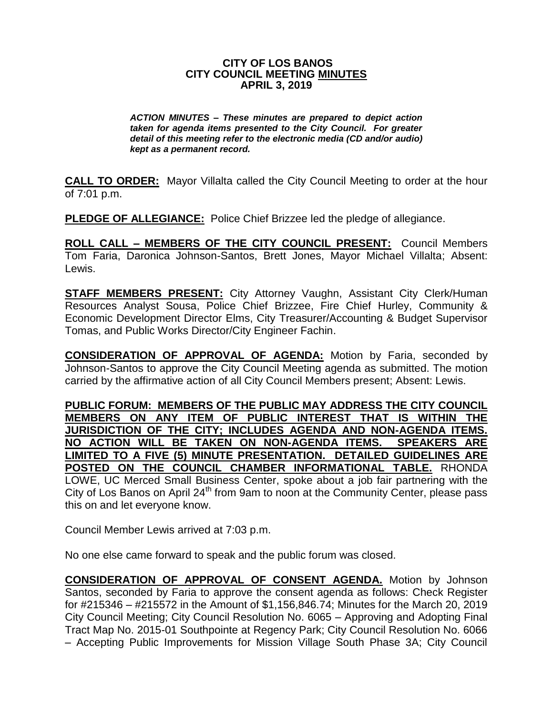#### **CITY OF LOS BANOS CITY COUNCIL MEETING MINUTES APRIL 3, 2019**

*ACTION MINUTES – These minutes are prepared to depict action taken for agenda items presented to the City Council. For greater detail of this meeting refer to the electronic media (CD and/or audio) kept as a permanent record.*

**CALL TO ORDER:** Mayor Villalta called the City Council Meeting to order at the hour of 7:01 p.m.

**PLEDGE OF ALLEGIANCE:** Police Chief Brizzee led the pledge of allegiance.

**ROLL CALL – MEMBERS OF THE CITY COUNCIL PRESENT:** Council Members Tom Faria, Daronica Johnson-Santos, Brett Jones, Mayor Michael Villalta; Absent: Lewis.

**STAFF MEMBERS PRESENT:** City Attorney Vaughn, Assistant City Clerk/Human Resources Analyst Sousa, Police Chief Brizzee, Fire Chief Hurley, Community & Economic Development Director Elms, City Treasurer/Accounting & Budget Supervisor Tomas, and Public Works Director/City Engineer Fachin.

**CONSIDERATION OF APPROVAL OF AGENDA:** Motion by Faria, seconded by Johnson-Santos to approve the City Council Meeting agenda as submitted. The motion carried by the affirmative action of all City Council Members present; Absent: Lewis.

**PUBLIC FORUM: MEMBERS OF THE PUBLIC MAY ADDRESS THE CITY COUNCIL MEMBERS ON ANY ITEM OF PUBLIC INTEREST THAT IS WITHIN THE JURISDICTION OF THE CITY; INCLUDES AGENDA AND NON-AGENDA ITEMS. NO ACTION WILL BE TAKEN ON NON-AGENDA ITEMS. SPEAKERS ARE LIMITED TO A FIVE (5) MINUTE PRESENTATION. DETAILED GUIDELINES ARE POSTED ON THE COUNCIL CHAMBER INFORMATIONAL TABLE.** RHONDA LOWE, UC Merced Small Business Center, spoke about a job fair partnering with the City of Los Banos on April 24<sup>th</sup> from 9am to noon at the Community Center, please pass this on and let everyone know.

Council Member Lewis arrived at 7:03 p.m.

No one else came forward to speak and the public forum was closed.

**CONSIDERATION OF APPROVAL OF CONSENT AGENDA.** Motion by Johnson Santos, seconded by Faria to approve the consent agenda as follows: Check Register for #215346 – #215572 in the Amount of \$1,156,846.74; Minutes for the March 20, 2019 City Council Meeting; City Council Resolution No. 6065 – Approving and Adopting Final Tract Map No. 2015-01 Southpointe at Regency Park; City Council Resolution No. 6066 – Accepting Public Improvements for Mission Village South Phase 3A; City Council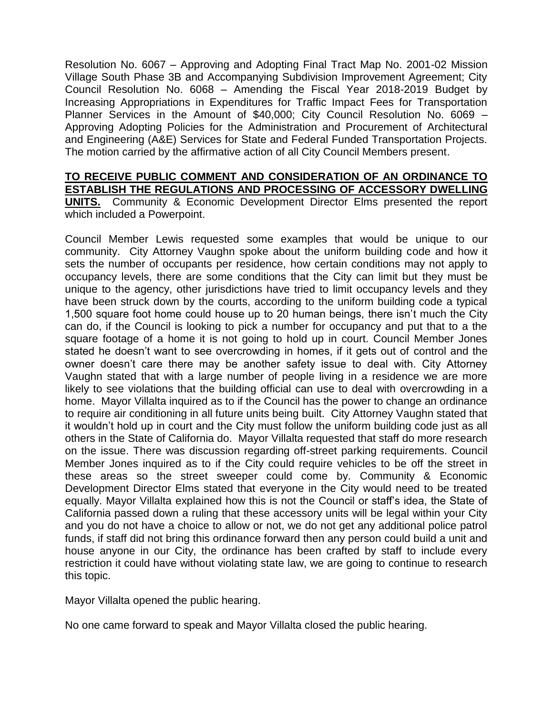Resolution No. 6067 – Approving and Adopting Final Tract Map No. 2001-02 Mission Village South Phase 3B and Accompanying Subdivision Improvement Agreement; City Council Resolution No. 6068 – Amending the Fiscal Year 2018-2019 Budget by Increasing Appropriations in Expenditures for Traffic Impact Fees for Transportation Planner Services in the Amount of \$40,000; City Council Resolution No. 6069 – Approving Adopting Policies for the Administration and Procurement of Architectural and Engineering (A&E) Services for State and Federal Funded Transportation Projects. The motion carried by the affirmative action of all City Council Members present.

#### **TO RECEIVE PUBLIC COMMENT AND CONSIDERATION OF AN ORDINANCE TO ESTABLISH THE REGULATIONS AND PROCESSING OF ACCESSORY DWELLING UNITS.** Community & Economic Development Director Elms presented the report

Council Member Lewis requested some examples that would be unique to our community. City Attorney Vaughn spoke about the uniform building code and how it sets the number of occupants per residence, how certain conditions may not apply to occupancy levels, there are some conditions that the City can limit but they must be unique to the agency, other jurisdictions have tried to limit occupancy levels and they have been struck down by the courts, according to the uniform building code a typical 1,500 square foot home could house up to 20 human beings, there isn't much the City can do, if the Council is looking to pick a number for occupancy and put that to a the square footage of a home it is not going to hold up in court. Council Member Jones stated he doesn't want to see overcrowding in homes, if it gets out of control and the owner doesn't care there may be another safety issue to deal with. City Attorney Vaughn stated that with a large number of people living in a residence we are more likely to see violations that the building official can use to deal with overcrowding in a home. Mayor Villalta inquired as to if the Council has the power to change an ordinance to require air conditioning in all future units being built. City Attorney Vaughn stated that it wouldn't hold up in court and the City must follow the uniform building code just as all others in the State of California do. Mayor Villalta requested that staff do more research on the issue. There was discussion regarding off-street parking requirements. Council Member Jones inquired as to if the City could require vehicles to be off the street in these areas so the street sweeper could come by. Community & Economic Development Director Elms stated that everyone in the City would need to be treated equally. Mayor Villalta explained how this is not the Council or staff's idea, the State of California passed down a ruling that these accessory units will be legal within your City and you do not have a choice to allow or not, we do not get any additional police patrol funds, if staff did not bring this ordinance forward then any person could build a unit and house anyone in our City, the ordinance has been crafted by staff to include every restriction it could have without violating state law, we are going to continue to research this topic.

Mayor Villalta opened the public hearing.

which included a Powerpoint.

No one came forward to speak and Mayor Villalta closed the public hearing.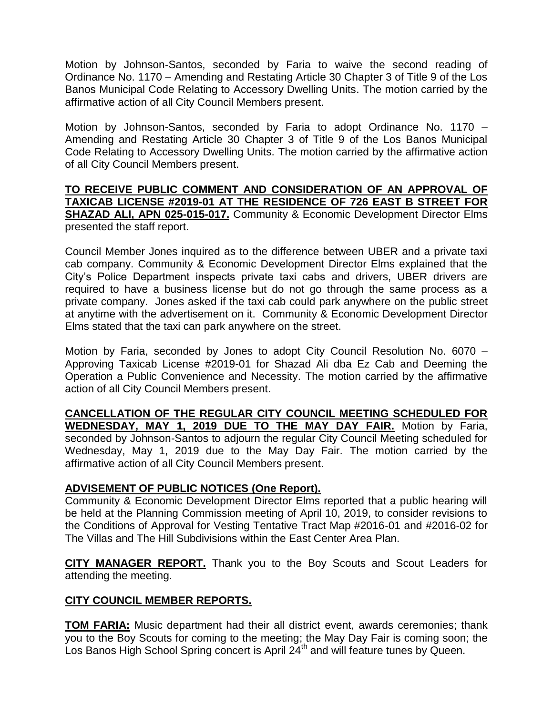Motion by Johnson-Santos, seconded by Faria to waive the second reading of Ordinance No. 1170 – Amending and Restating Article 30 Chapter 3 of Title 9 of the Los Banos Municipal Code Relating to Accessory Dwelling Units. The motion carried by the affirmative action of all City Council Members present.

Motion by Johnson-Santos, seconded by Faria to adopt Ordinance No. 1170 – Amending and Restating Article 30 Chapter 3 of Title 9 of the Los Banos Municipal Code Relating to Accessory Dwelling Units. The motion carried by the affirmative action of all City Council Members present.

#### **TO RECEIVE PUBLIC COMMENT AND CONSIDERATION OF AN APPROVAL OF TAXICAB LICENSE #2019-01 AT THE RESIDENCE OF 726 EAST B STREET FOR SHAZAD ALI, APN 025-015-017.** Community & Economic Development Director Elms presented the staff report.

Council Member Jones inquired as to the difference between UBER and a private taxi cab company. Community & Economic Development Director Elms explained that the City's Police Department inspects private taxi cabs and drivers, UBER drivers are required to have a business license but do not go through the same process as a private company. Jones asked if the taxi cab could park anywhere on the public street at anytime with the advertisement on it. Community & Economic Development Director Elms stated that the taxi can park anywhere on the street.

Motion by Faria, seconded by Jones to adopt City Council Resolution No. 6070 – Approving Taxicab License #2019-01 for Shazad Ali dba Ez Cab and Deeming the Operation a Public Convenience and Necessity. The motion carried by the affirmative action of all City Council Members present.

**CANCELLATION OF THE REGULAR CITY COUNCIL MEETING SCHEDULED FOR WEDNESDAY, MAY 1, 2019 DUE TO THE MAY DAY FAIR.** Motion by Faria, seconded by Johnson-Santos to adjourn the regular City Council Meeting scheduled for Wednesday, May 1, 2019 due to the May Day Fair. The motion carried by the affirmative action of all City Council Members present.

# **ADVISEMENT OF PUBLIC NOTICES (One Report).**

Community & Economic Development Director Elms reported that a public hearing will be held at the Planning Commission meeting of April 10, 2019, to consider revisions to the Conditions of Approval for Vesting Tentative Tract Map #2016-01 and #2016-02 for The Villas and The Hill Subdivisions within the East Center Area Plan.

**CITY MANAGER REPORT.** Thank you to the Boy Scouts and Scout Leaders for attending the meeting.

# **CITY COUNCIL MEMBER REPORTS.**

**TOM FARIA:** Music department had their all district event, awards ceremonies; thank you to the Boy Scouts for coming to the meeting; the May Day Fair is coming soon; the Los Banos High School Spring concert is April 24<sup>th</sup> and will feature tunes by Queen.